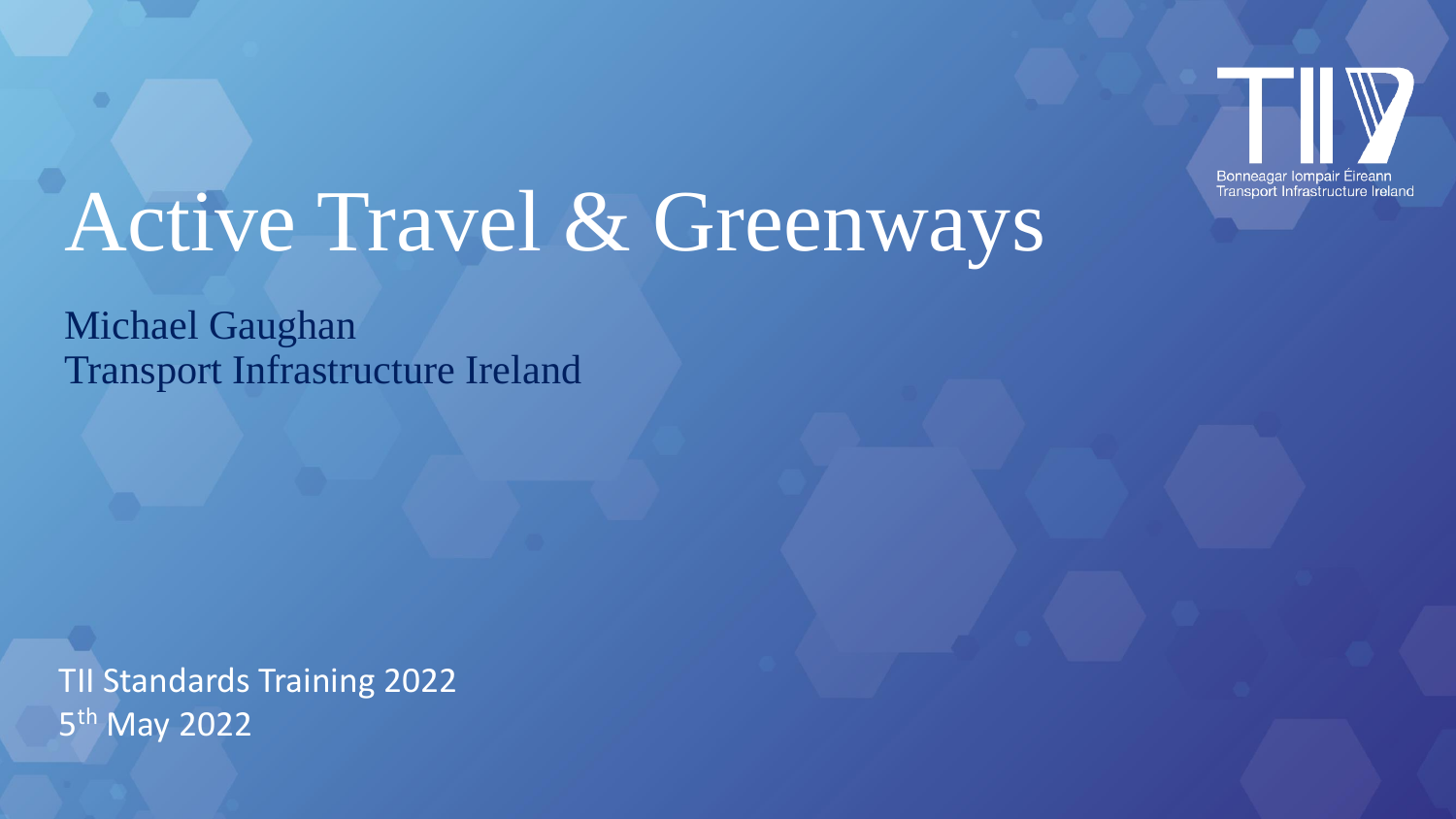

# Active Travel & Greenways

Michael Gaughan Transport Infrastructure Ireland

TII Standards Training 2022 5<sup>th</sup> May 2022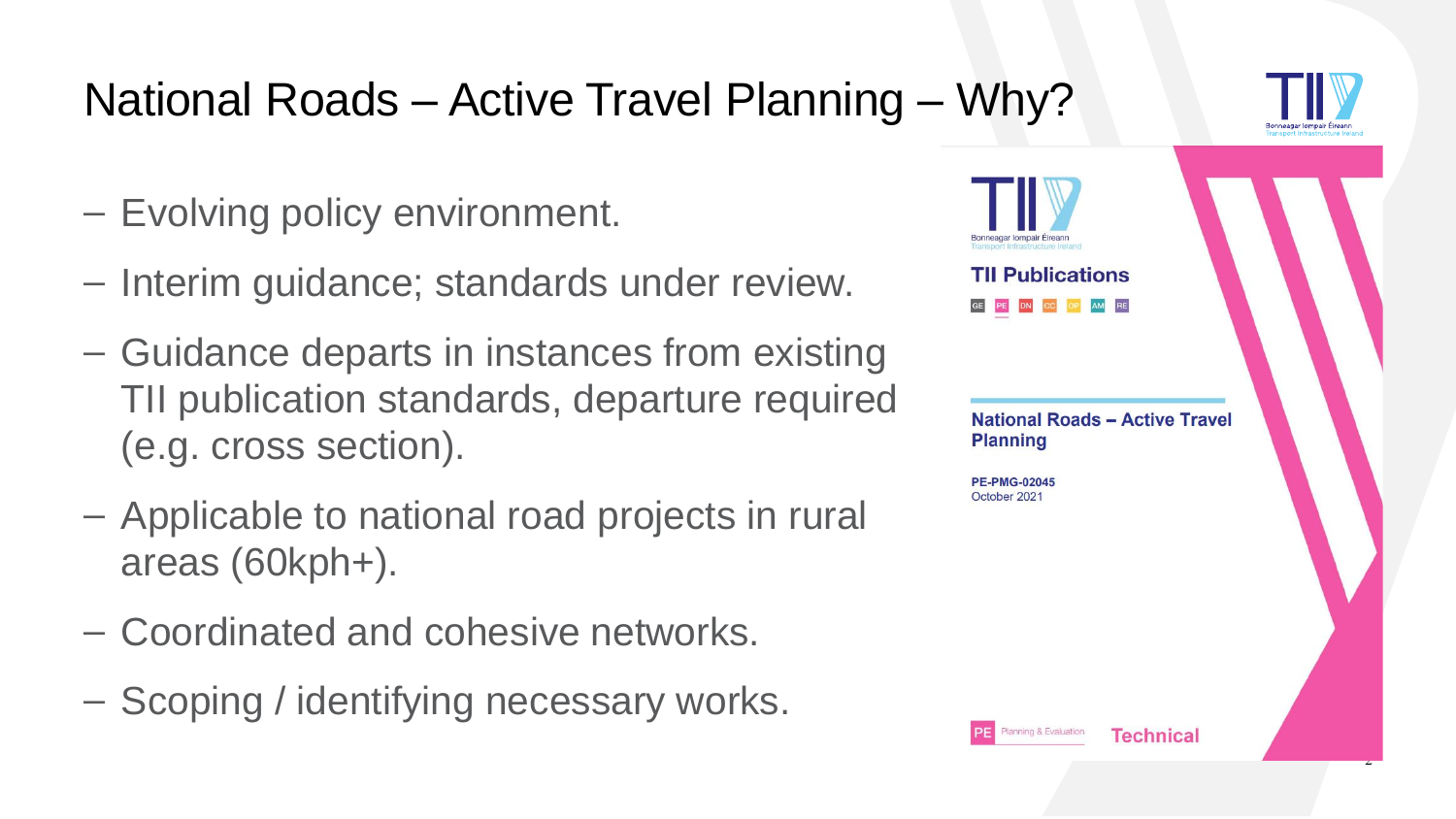#### National Roads – Active Travel Planning – Why?

- Evolving policy environment.
- Interim guidance; standards under review.
- Guidance departs in instances from existing TII publication standards, departure required (e.g. cross section).
- Applicable to national road projects in rural areas (60kph+).
- Coordinated and cohesive networks.
- Scoping / identifying necessary works.

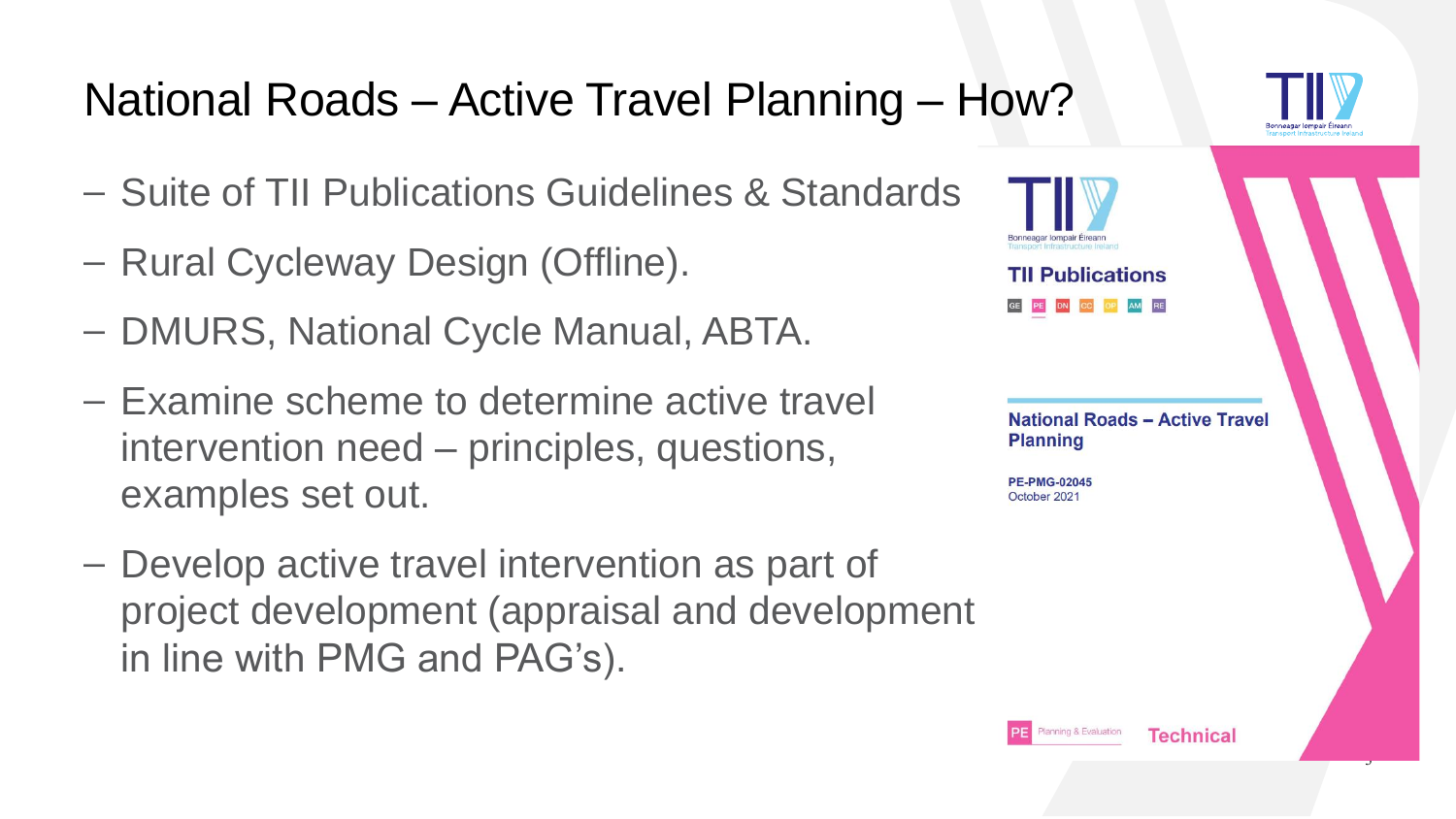#### National Roads – Active Travel Planning – How?

- Suite of TII Publications Guidelines & Standards
- Rural Cycleway Design (Offline).
- DMURS, National Cycle Manual, ABTA.
- Examine scheme to determine active travel intervention need – principles, questions, examples set out.
- Develop active travel intervention as part of project development (appraisal and development in line with PMG and PAG's).

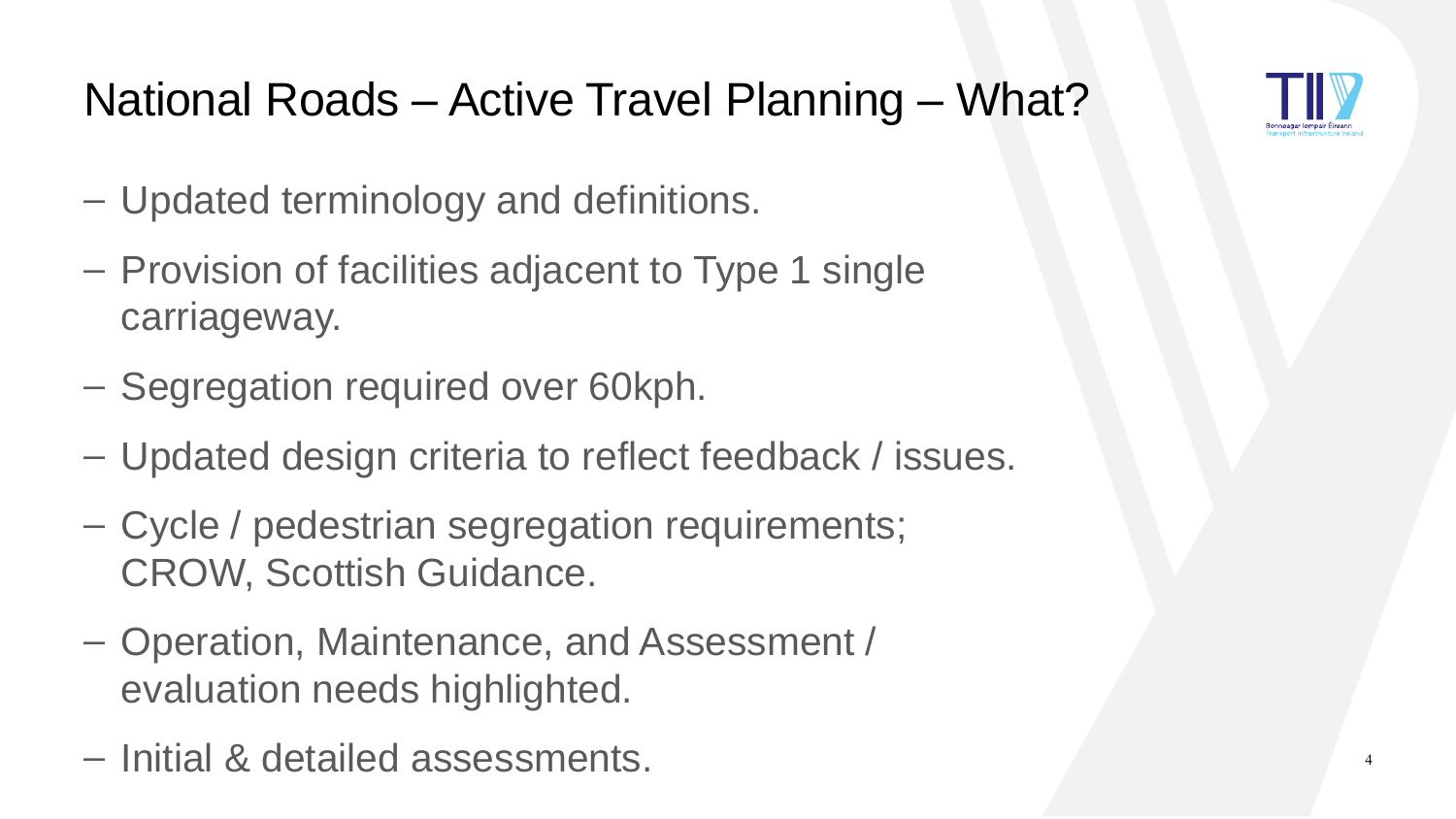

### National Roads – Active Travel Planning – What?

- Updated terminology and definitions.
- Provision of facilities adjacent to Type 1 single carriageway.
- Segregation required over 60kph.
- Updated design criteria to reflect feedback / issues.
- Cycle / pedestrian segregation requirements; CROW, Scottish Guidance.
- Operation, Maintenance, and Assessment / evaluation needs highlighted.
- Initial & detailed assessments. <sup>4</sup>